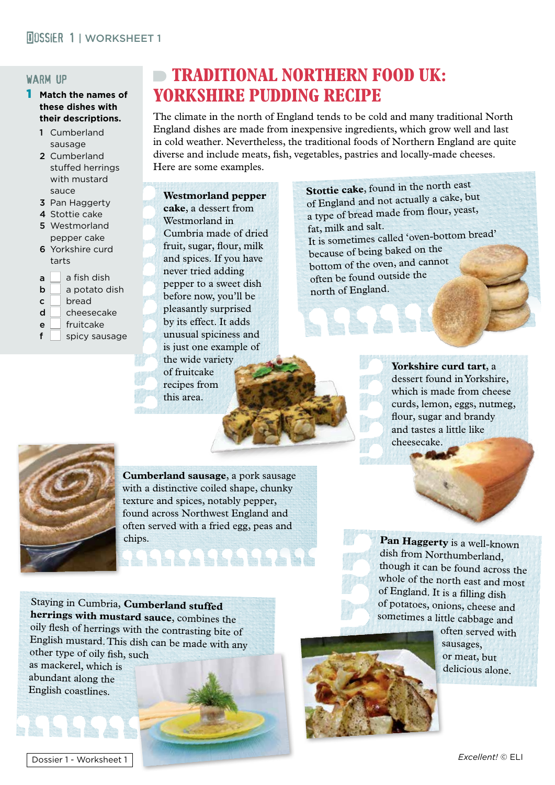#### warm up

- 1 **Match the names of these dishes with their descriptions.**
	- 1 Cumberland sausage
	- 2 Cumberland stuffed herrings with mustard sauce
	- 3 Pan Haggerty
	- 4 Stottie cake
	- 5 Westmorland pepper cake
	- 6 Yorkshire curd tarts
	- $a \mid a$  fish dish
	- **b** a potato dish
	- $c \mid$  bread
	- $d \Box$  cheesecake
	- $\begin{array}{c} e \\ \hline \end{array}$  fruitcake
	- spicy sausage

# **TRADITIONAL NORTHERN FOOD UK: YORKSHIRE PUDDING RECIPE**

The climate in the north of England tends to be cold and many traditional North England dishes are made from inexpensive ingredients, which grow well and last in cold weather. Nevertheless, the traditional foods of Northern England are quite diverse and include meats, fish, vegetables, pastries and locally-made cheeses. Here are some examples.

#### **Westmorland pepper**

**cake**, a dessert from Westmorland in Cumbria made of dried fruit, sugar, flour, milk and spices. If you have never tried adding pepper to a sweet dish before now, you'll be pleasantly surprised by its effect. It adds unusual spiciness and is just one example of the wide variety of fruitcake recipes from this area.

**Stottie cake**, found in the north east of England and not actually a cake, but a type of bread made from flour, yeast, fat, milk and salt. It is sometimes called 'oven-bottom bread' because of being baked on the bottom of the oven, and cannot often be found outside the north of England.

> **Yorkshire curd tart**, a dessert found in Yorkshire, which is made from cheese curds, lemon, eggs, nutmeg, flour, sugar and brandy and tastes a little like cheesecake.



**Cumberland sausage**, a pork sausage with a distinctive coiled shape, chunky texture and spices, notably pepper, found across Northwest England and often served with a fried egg, peas and

chips. **Pan Haggerty** is a well-known dish from Northumberland, though it can be found across the whole of the north east and most of England. It is a filling dish of potatoes, onions, cheese and sometimes a little cabbage and

Staying in Cumbria, **Cumberland stuffed herrings with mustard sauce**, combines the oily flesh of herrings with the contrasting bite of English mustard. This dish can be made with any other type of oily fish, such as mackerel, which is abundant along the English coastlines.



often served with sausages, or meat, but delicious alone.